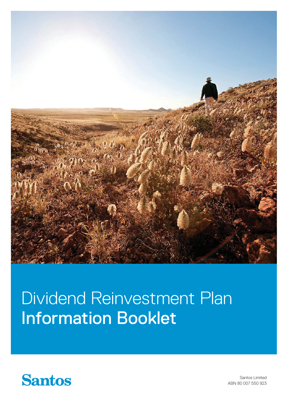

# Dividend Reinvestment Plan Information Booklet



Santos Limited ABN 80 007 550 923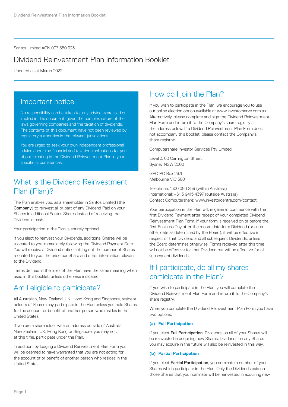Santos Limited ACN 007 550 923

### Dividend Reinvestment Plan Information Booklet

Updated as at March 2022

#### Important notice

No responsibility can be taken for any advice expressed or implied in this document, given the complex nature of the laws governing companies and the taxation of dividends. The contents of this document have not been reviewed by regulatory authorities in the relevant jurisdictions.

You are urged to seek your own independent professional advice about the financial and taxation implications for you of participating in the Dividend Reinvestment Plan in your specific circumstances.

# What is the Dividend Reinvestment Plan (Plan)?

The Plan enables you, as a shareholder in Santos Limited (the Company) to reinvest all or part of any Dividend Paid on your Shares in additional Santos Shares instead of receiving that Dividend in cash.

Your participation in the Plan is entirely optional.

If you elect to reinvest your Dividends, additional Shares will be allocated to you immediately following the Dividend Payment Date. You will receive a Dividend notice setting out the number of Shares allocated to you, the price per Share and other information relevant to the Dividend.

Terms defined in the rules of the Plan have the same meaning when used in this booklet, unless otherwise indicated.

### Am I eligible to participate?

All Australian, New Zealand, UK, Hong Kong and Singapore, resident holders of Shares may participate in the Plan unless you hold Shares for the account or benefit of another person who resides in the United States.

If you are a shareholder with an address outside of Australia, New Zealand, UK, Hong Kong or Singapore, you may not, at this time, participate under the Plan.

In addition, by lodging a Dividend Reinvestment Plan Form you will be deemed to have warranted that you are not acting for the account of or benefit of another person who resides in the United States.

# How do I join the Plan?

If you wish to participate in the Plan, we encourage you to use our online election option available at www.investorserve.com.au. Alternatively, please complete and sign the Dividend Reinvestment Plan Form and return it to the Company's share registry at the address below. If a Dividend Reinvestment Plan Form does not accompany this booklet, please contact the Company's share registry:

Computershare Investor Services Pty Limited

Level 3, 60 Carrington Street Sydney NSW 2000

GPO PO Box 2975 Melbourne VIC 3001

Telephone: 1300 096 259 (within Australia) International: +61 3 9415 4397 (outside Australia) Contact Computershare: www.investorcentre.com/contact

Your participation in the Plan will, in general, commence with the first Dividend Payment after receipt of your completed Dividend Reinvestment Plan Form. If your form is received on or before the first Business Day after the record date for a Dividend (or such other date as determined by the Board), it will be effective in respect of that Dividend and all subsequent Dividends, unless the Board determines otherwise. Forms received after this time will not be effective for that Dividend but will be effective for all subsequent dividends.

### If I participate, do all my shares participate in the Plan?

If you wish to participate in the Plan, you will complete the Dividend Reinvestment Plan Form and return it to the Company's share registry.

When you complete the Dividend Reinvestment Plan Form you have two options:

#### **(a) Full Participation**

If you elect Full Participation, Dividends on all of your Shares will be reinvested in acquiring new Shares. Dividends on any Shares you may acquire in the future will also be reinvested in this way.

#### **(b) Partial Participation**

If you elect Partial Participation, you nominate a number of your Shares which participate in the Plan. Only the Dividends paid on those Shares that you nominate will be reinvested in acquiring new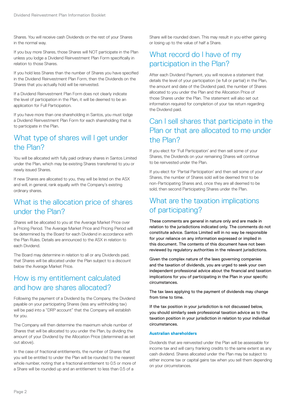Shares. You will receive cash Dividends on the rest of your Shares in the normal way.

If you buy more Shares, those Shares will NOT participate in the Plan unless you lodge a Dividend Reinvestment Plan Form specifically in relation to those Shares.

If you hold less Shares than the number of Shares you have specified in the Dividend Reinvestment Plan Form, then the Dividends on the Shares that you actually hold will be reinvested.

If a Dividend Reinvestment Plan Form does not clearly indicate the level of participation in the Plan, it will be deemed to be an application for Full Participation.

If you have more than one shareholding in Santos, you must lodge a Dividend Reinvestment Plan Form for each shareholding that is to participate in the Plan.

# What type of shares will I get under the Plan?

You will be allocated with fully paid ordinary shares in Santos Limited under the Plan, which may be existing Shares transferred to you or newly issued Shares.

If new Shares are allocated to you, they will be listed on the ASX and will, in general, rank equally with the Company's existing ordinary shares.

### What is the allocation price of shares under the Plan?

Shares will be allocated to you at the Average Market Price over a Pricing Period. The Average Market Price and Pricing Period will be determined by the Board for each Dividend in accordance with the Plan Rules. Details are announced to the ASX in relation to each Dividend.

The Board may determine in relation to all or any Dividends paid, that Shares will be allocated under the Plan subject to a discount below the Average Market Price.

# How is my entitlement calculated and how are shares allocated?

Following the payment of a Dividend by the Company, the Dividend payable on your participating Shares (less any withholding tax) will be paid into a "DRP account" that the Company will establish for you.

The Company will then determine the maximum whole number of Shares that will be allocated to you under the Plan, by dividing the amount of your Dividend by the Allocation Price (determined as set out above).

In the case of fractional entitlements, the number of Shares that you will be entitled to under the Plan will be rounded to the nearest whole number, noting that a fractional entitlement to 0.5 or more of a Share will be rounded up and an entitlement to less than 0.5 of a

Share will be rounded down. This may result in you either gaining or losing up to the value of half a Share.

# What record do I have of my participation in the Plan?

After each Dividend Payment, you will receive a statement that details the level of your participation (ie full or partial) in the Plan, the amount and date of the Dividend paid, the number of Shares allocated to you under the Plan and the Allocation Price of those Shares under the Plan. The statement will also set out information required for completion of your tax return regarding the Dividend paid.

# Can I sell shares that participate in the Plan or that are allocated to me under the Plan?

If you elect for 'Full Participation' and then sell some of your Shares, the Dividends on your remaining Shares will continue to be reinvested under the Plan.

If you elect for 'Partial Participation' and then sell some of your Shares, the number of Shares sold will be deemed first to be non-Participating Shares and, once they are all deemed to be sold, then second Participating Shares under the Plan.

# What are the taxation implications of participating?

These comments are general in nature only and are made in relation to the jurisdictions indicated only. The comments do not constitute advice. Santos Limited will in no way be responsible for your reliance on any information expressed or implied in this document. The contents of this document have not been reviewed by regulatory authorities in the relevant jurisdictions.

Given the complex nature of the laws governing companies and the taxation of dividends, you are urged to seek your own independent professional advice about the financial and taxation implications for you of participating in the Plan in your specific circumstances.

The tax laws applying to the payment of dividends may change from time to time.

If the tax position in your jurisdiction is not discussed below, you should similarly seek professional taxation advice as to the taxation position in your jurisdiction in relation to your individual circumstances.

#### **Australian shareholders**

Dividends that are reinvested under the Plan will be assessable for income tax and will carry franking credits to the same extent as any cash dividend. Shares allocated under the Plan may be subject to either income tax or capital gains tax when you sell them depending on your circumstances.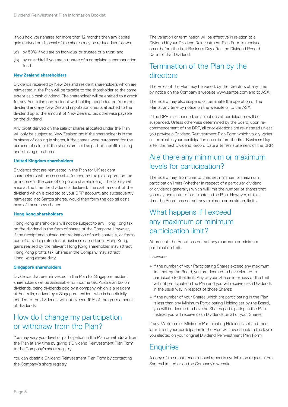If you hold your shares for more than 12 months then any capital gain derived on disposal of the shares may be reduced as follows:

- (a) by 50% if you are an individual or trustee of a trust; and
- (b) by one-third if you are a trustee of a complying superannuation fund.

#### **New Zealand shareholders**

Dividends received by New Zealand resident shareholders which are reinvested in the Plan will be taxable to the shareholder to the same extent as a cash dividend. The shareholder will be entitled to a credit for any Australian non-resident withholding tax deducted from the dividend and any New Zealand imputation credits attached to the dividend up to the amount of New Zealand tax otherwise payable on the dividend.

Any profit derived on the sale of shares allocated under the Plan will only be subject to New Zealand tax if the shareholder is in the business of dealing in shares, if the shares were purchased for the purpose of sale or if the shares are sold as part of a profit-making undertaking or scheme.

#### **United Kingdom shareholders**

Dividends that are reinvested in the Plan for UK resident shareholders will be assessable for income tax (or corporation tax on income in the case of corporate shareholders). The liability will arise at the time the dividend is declared. The cash amount of the dividend which is credited to your DRP account, and subsequently reinvested into Santos shares, would then form the capital gains base of these new shares.

#### **Hong Kong shareholders**

Hong Kong shareholders will not be subject to any Hong Kong tax on the dividend in the form of shares of the Company. However, if the receipt and subsequent realisation of such shares is, or forms part of a trade, profession or business carried on in Hong Kong, gains realised by the relevant Hong Kong shareholder may attract Hong Kong profits tax. Shares in the Company may attract Hong Kong estate duty.

#### **Singapore shareholders**

Dividends that are reinvested in the Plan for Singapore resident shareholders will be assessable for income tax. Australian tax on dividends, being dividends paid by a company which is a resident of Australia, derived by a Singapore resident who is beneficially entitled to the dividends, will not exceed 15% of the gross amount of dividends.

### How do I change my participation or withdraw from the Plan?

You may vary your level of participation in the Plan or withdraw from the Plan at any time by giving a Dividend Reinvestment Plan Form to the Company's share registry.

You can obtain a Dividend Reinvestment Plan Form by contacting the Company's share registry.

The variation or termination will be effective in relation to a Dividend if your Dividend Reinvestment Plan Form is received on or before the first Business Day after the Dividend Record Date for that Dividend.

### Termination of the Plan by the directors

The Rules of the Plan may be varied, by the Directors at any time by notice on the Company's website www.santos.com and to ASX.

The Board may also suspend or terminate the operation of the Plan at any time by notice on the website or to the ASX.

If the DRP is suspended, any elections of participation will be suspended. Unless otherwise determined by the Board, upon recommencement of the DRP, all prior elections are re-instated unless you provide a Dividend Reinvestment Plan Form which validly varies or terminates your participation on or before the first Business Day after the next Dividend Record Date after reinstatement of the DRP.

#### Are there any minimum or maximum levels for participation?

The Board may, from time to time, set minimum or maximum participation limits (whether in respect of a particular dividend or dividends generally) which will limit the number of shares that you may nominate to participate in the Plan. However, at this time the Board has not set any minimum or maximum limits.

### What happens if I exceed any maximum or minimum participation limit?

At present, the Board has not set any maximum or minimum participation limit.

However:

- + if the number of your Participating Shares exceed any maximum limit set by the Board, you are deemed to have elected to participate to that limit. Any of your Shares in excess of the limit will not participate in the Plan and you will receive cash Dividends in the usual way in respect of those Shares;
- + if the number of your Shares which are participating in the Plan is less than any Minimum Participating Holding set by the Board, you will be deemed to have no Shares participating in the Plan. Instead you will receive cash Dividends on all of your Shares.

If any Maximum or Minimum Participating Holding is set and then later lifted, your participation in the Plan will revert back to the levels you elected on your original Dividend Reinvestment Plan Form.

### **Enquiries**

A copy of the most recent annual report is available on request from Santos Limited or on the Company's website.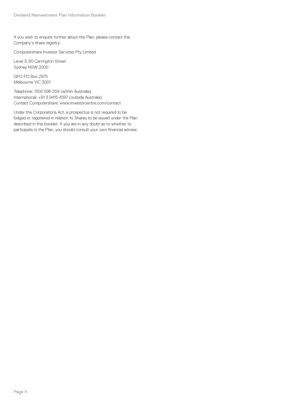If you wish to enquire further about the Plan, please contact the Company's share registry:

Computershare Investor Services Pty Limited

Level 3, 60 Carrington Street Sydney NSW 2000

GPO PO Box 2975 Melbourne VIC 3001

Telephone: 1300 096 259 (within Australia) International: +61 3 9415 4397 (outside Australia) Contact Computershare: www.investorcentre.com/contact

Under the Corporations Act, a prospectus is not required to be lodged or registered in relation to Shares to be issued under the Plan described in this booklet. If you are in any doubt as to whether to participate in the Plan, you should consult your own financial adviser.